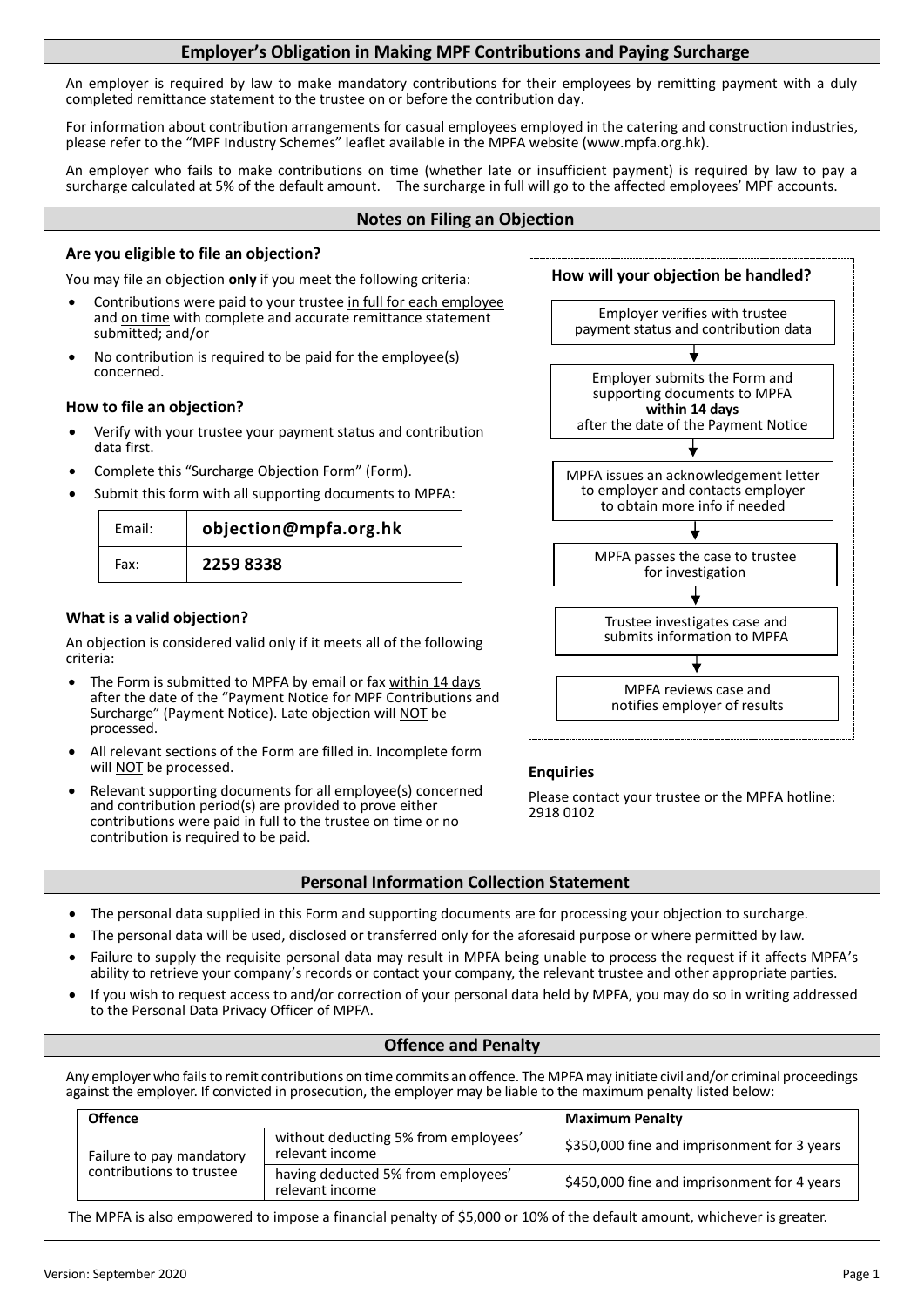# The personal data will be used, disclosed or transferred only for the aforesaid purpose or where permitted by law.

 Failure to supply the requisite personal data may result in MPFA being unable to process the request if it affects MPFA's ability to retrieve your company's records or contact your company, the relevant trustee and other appropriate parties.

**Personal Information Collection Statement**

The personal data supplied in this Form and supporting documents are for processing your objection to surcharge.

 If you wish to request access to and/or correction of your personal data held by MPFA, you may do so in writing addressed to the Personal Data Privacy Officer of MPFA.

#### **Offence and Penalty**

Any employer who fails to remit contributions on time commits an offence. The MPFAmay initiate civil and/or criminal proceedings against the employer. If convicted in prosecution, the employer may be liable to the maximum penalty listed below:

| <b>Offence</b>           |                                                         | <b>Maximum Penalty</b>                      |  |
|--------------------------|---------------------------------------------------------|---------------------------------------------|--|
| Failure to pay mandatory | without deducting 5% from employees'<br>relevant income | \$350,000 fine and imprisonment for 3 years |  |
| contributions to trustee | having deducted 5% from employees'<br>relevant income   | \$450,000 fine and imprisonment for 4 years |  |

The MPFA is also empowered to impose a financial penalty of \$5,000 or 10% of the default amount, whichever is greater.

An employer is required by law to make mandatory contributions for their employees by remitting payment with a duly completed remittance statement to the trustee on or before the contribution day.

For information about contribution arrangements for casual employees employed in the catering and construction industries, please refer to the "MPF Industry Schemes" leaflet available in the MPFA website (www.mpfa.org.hk).

An employer who fails to make contributions on time (whether late or insufficient payment) is required by law to pay a surcharge calculated at 5% of the default amount. The surcharge in full will go to the affected employees' MPF accounts.

### **Notes on Filing an Objection**

## **Are you eligible to file an objection?**

You may file an objection **only** if you meet the following criteria:

- Contributions were paid to your trustee in full for each employee and on time with complete and accurate remittance statement submitted; and/or
- No contribution is required to be paid for the employee(s) concerned.

## **How to file an objection?**

- Verify with your trustee your payment status and contribution data first.
- Complete this "Surcharge Objection Form" (Form).
- Submit this form with all supporting documents to MPFA:

| Email: | objection@mpfa.org.hk |  |
|--------|-----------------------|--|
| Fax:   | 2259 8338             |  |

## **What is a valid objection?**

An objection is considered valid only if it meets all of the following criteria:

- The Form is submitted to MPFA by email or fax within 14 days after the date of the "Payment Notice for MPF Contributions and Surcharge" (Payment Notice). Late objection will NOT be processed.
- All relevant sections of the Form are filled in. Incomplete form will **NOT** be processed.
- Relevant supporting documents for all employee(s) concerned and contribution period(s) are provided to prove either contributions were paid in full to the trustee on time or no contribution is required to be paid.



## **Enquiries**

Please contact your trustee or the MPFA hotline: 2918 0102